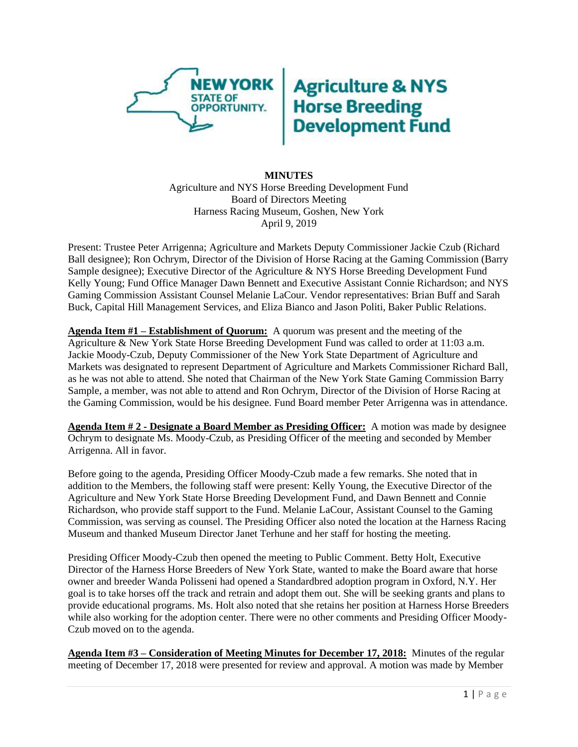

## **Agriculture & NYS<br>Horse Breeding<br>Development Fund**

## **MINUTES** Agriculture and NYS Horse Breeding Development Fund Board of Directors Meeting Harness Racing Museum, Goshen, New York April 9, 2019

Present: Trustee Peter Arrigenna; Agriculture and Markets Deputy Commissioner Jackie Czub (Richard Ball designee); Ron Ochrym, Director of the Division of Horse Racing at the Gaming Commission (Barry Sample designee); Executive Director of the Agriculture & NYS Horse Breeding Development Fund Kelly Young; Fund Office Manager Dawn Bennett and Executive Assistant Connie Richardson; and NYS Gaming Commission Assistant Counsel Melanie LaCour. Vendor representatives: Brian Buff and Sarah Buck, Capital Hill Management Services, and Eliza Bianco and Jason Politi, Baker Public Relations.

**Agenda Item #1 – Establishment of Quorum:** A quorum was present and the meeting of the Agriculture & New York State Horse Breeding Development Fund was called to order at 11:03 a.m. Jackie Moody-Czub, Deputy Commissioner of the New York State Department of Agriculture and Markets was designated to represent Department of Agriculture and Markets Commissioner Richard Ball, as he was not able to attend. She noted that Chairman of the New York State Gaming Commission Barry Sample, a member, was not able to attend and Ron Ochrym, Director of the Division of Horse Racing at the Gaming Commission, would be his designee. Fund Board member Peter Arrigenna was in attendance.

**Agenda Item # 2 - Designate a Board Member as Presiding Officer:** A motion was made by designee Ochrym to designate Ms. Moody-Czub, as Presiding Officer of the meeting and seconded by Member Arrigenna. All in favor.

Before going to the agenda, Presiding Officer Moody-Czub made a few remarks. She noted that in addition to the Members, the following staff were present: Kelly Young, the Executive Director of the Agriculture and New York State Horse Breeding Development Fund, and Dawn Bennett and Connie Richardson, who provide staff support to the Fund. Melanie LaCour, Assistant Counsel to the Gaming Commission, was serving as counsel. The Presiding Officer also noted the location at the Harness Racing Museum and thanked Museum Director Janet Terhune and her staff for hosting the meeting.

Presiding Officer Moody-Czub then opened the meeting to Public Comment. Betty Holt, Executive Director of the Harness Horse Breeders of New York State, wanted to make the Board aware that horse owner and breeder Wanda Polisseni had opened a Standardbred adoption program in Oxford, N.Y. Her goal is to take horses off the track and retrain and adopt them out. She will be seeking grants and plans to provide educational programs. Ms. Holt also noted that she retains her position at Harness Horse Breeders while also working for the adoption center. There were no other comments and Presiding Officer Moody-Czub moved on to the agenda.

**Agenda Item #3 – Consideration of Meeting Minutes for December 17, 2018:** Minutes of the regular meeting of December 17, 2018 were presented for review and approval. A motion was made by Member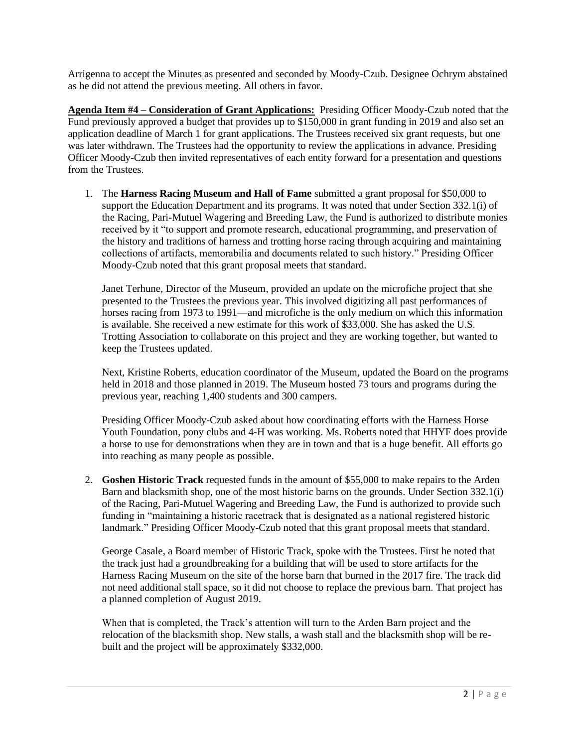Arrigenna to accept the Minutes as presented and seconded by Moody-Czub. Designee Ochrym abstained as he did not attend the previous meeting. All others in favor.

**Agenda Item #4 – Consideration of Grant Applications:** Presiding Officer Moody-Czub noted that the Fund previously approved a budget that provides up to \$150,000 in grant funding in 2019 and also set an application deadline of March 1 for grant applications. The Trustees received six grant requests, but one was later withdrawn. The Trustees had the opportunity to review the applications in advance. Presiding Officer Moody-Czub then invited representatives of each entity forward for a presentation and questions from the Trustees.

1. The **Harness Racing Museum and Hall of Fame** submitted a grant proposal for \$50,000 to support the Education Department and its programs. It was noted that under Section 332.1(i) of the Racing, Pari-Mutuel Wagering and Breeding Law, the Fund is authorized to distribute monies received by it "to support and promote research, educational programming, and preservation of the history and traditions of harness and trotting horse racing through acquiring and maintaining collections of artifacts, memorabilia and documents related to such history." Presiding Officer Moody-Czub noted that this grant proposal meets that standard.

Janet Terhune, Director of the Museum, provided an update on the microfiche project that she presented to the Trustees the previous year. This involved digitizing all past performances of horses racing from 1973 to 1991—and microfiche is the only medium on which this information is available. She received a new estimate for this work of \$33,000. She has asked the U.S. Trotting Association to collaborate on this project and they are working together, but wanted to keep the Trustees updated.

Next, Kristine Roberts, education coordinator of the Museum, updated the Board on the programs held in 2018 and those planned in 2019. The Museum hosted 73 tours and programs during the previous year, reaching 1,400 students and 300 campers.

Presiding Officer Moody-Czub asked about how coordinating efforts with the Harness Horse Youth Foundation, pony clubs and 4-H was working. Ms. Roberts noted that HHYF does provide a horse to use for demonstrations when they are in town and that is a huge benefit. All efforts go into reaching as many people as possible.

2. **Goshen Historic Track** requested funds in the amount of \$55,000 to make repairs to the Arden Barn and blacksmith shop, one of the most historic barns on the grounds. Under Section 332.1(i) of the Racing, Pari-Mutuel Wagering and Breeding Law, the Fund is authorized to provide such funding in "maintaining a historic racetrack that is designated as a national registered historic landmark." Presiding Officer Moody-Czub noted that this grant proposal meets that standard.

George Casale, a Board member of Historic Track, spoke with the Trustees. First he noted that the track just had a groundbreaking for a building that will be used to store artifacts for the Harness Racing Museum on the site of the horse barn that burned in the 2017 fire. The track did not need additional stall space, so it did not choose to replace the previous barn. That project has a planned completion of August 2019.

When that is completed, the Track's attention will turn to the Arden Barn project and the relocation of the blacksmith shop. New stalls, a wash stall and the blacksmith shop will be rebuilt and the project will be approximately \$332,000.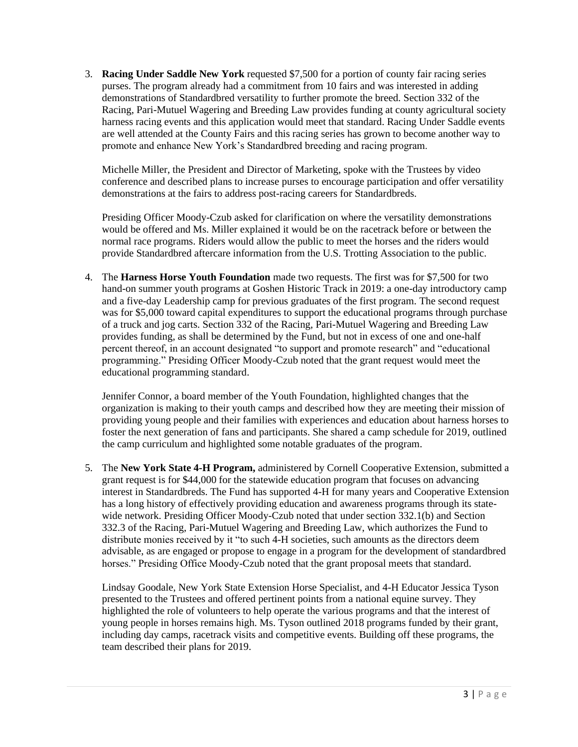3. **Racing Under Saddle New York** requested \$7,500 for a portion of county fair racing series purses. The program already had a commitment from 10 fairs and was interested in adding demonstrations of Standardbred versatility to further promote the breed. Section 332 of the Racing, Pari-Mutuel Wagering and Breeding Law provides funding at county agricultural society harness racing events and this application would meet that standard. Racing Under Saddle events are well attended at the County Fairs and this racing series has grown to become another way to promote and enhance New York's Standardbred breeding and racing program.

Michelle Miller, the President and Director of Marketing, spoke with the Trustees by video conference and described plans to increase purses to encourage participation and offer versatility demonstrations at the fairs to address post-racing careers for Standardbreds.

Presiding Officer Moody-Czub asked for clarification on where the versatility demonstrations would be offered and Ms. Miller explained it would be on the racetrack before or between the normal race programs. Riders would allow the public to meet the horses and the riders would provide Standardbred aftercare information from the U.S. Trotting Association to the public.

4. The **Harness Horse Youth Foundation** made two requests. The first was for \$7,500 for two hand-on summer youth programs at Goshen Historic Track in 2019: a one-day introductory camp and a five-day Leadership camp for previous graduates of the first program. The second request was for \$5,000 toward capital expenditures to support the educational programs through purchase of a truck and jog carts. Section 332 of the Racing, Pari-Mutuel Wagering and Breeding Law provides funding, as shall be determined by the Fund, but not in excess of one and one-half percent thereof, in an account designated "to support and promote research" and "educational programming." Presiding Officer Moody-Czub noted that the grant request would meet the educational programming standard.

Jennifer Connor, a board member of the Youth Foundation, highlighted changes that the organization is making to their youth camps and described how they are meeting their mission of providing young people and their families with experiences and education about harness horses to foster the next generation of fans and participants. She shared a camp schedule for 2019, outlined the camp curriculum and highlighted some notable graduates of the program.

5. The **New York State 4-H Program,** administered by Cornell Cooperative Extension, submitted a grant request is for \$44,000 for the statewide education program that focuses on advancing interest in Standardbreds. The Fund has supported 4-H for many years and Cooperative Extension has a long history of effectively providing education and awareness programs through its statewide network. Presiding Officer Moody-Czub noted that under section 332.1(b) and Section 332.3 of the Racing, Pari-Mutuel Wagering and Breeding Law, which authorizes the Fund to distribute monies received by it "to such 4-H societies, such amounts as the directors deem advisable, as are engaged or propose to engage in a program for the development of standardbred horses." Presiding Office Moody-Czub noted that the grant proposal meets that standard.

Lindsay Goodale, New York State Extension Horse Specialist, and 4-H Educator Jessica Tyson presented to the Trustees and offered pertinent points from a national equine survey. They highlighted the role of volunteers to help operate the various programs and that the interest of young people in horses remains high. Ms. Tyson outlined 2018 programs funded by their grant, including day camps, racetrack visits and competitive events. Building off these programs, the team described their plans for 2019.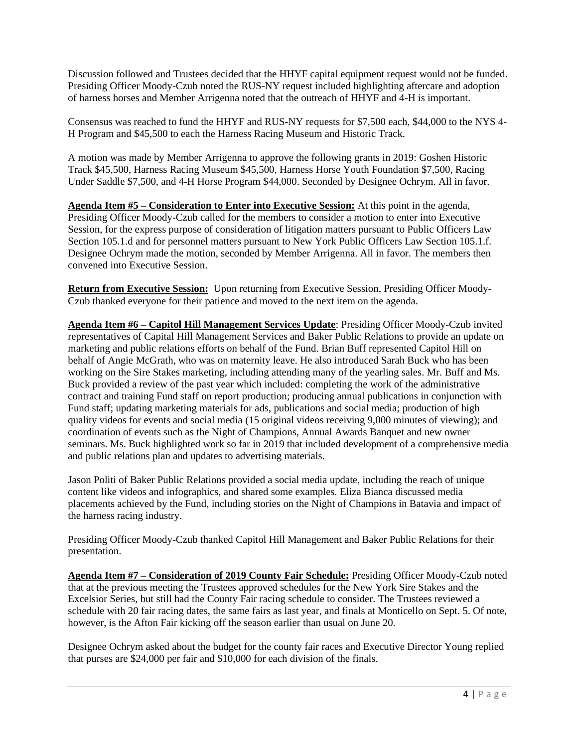Discussion followed and Trustees decided that the HHYF capital equipment request would not be funded. Presiding Officer Moody-Czub noted the RUS-NY request included highlighting aftercare and adoption of harness horses and Member Arrigenna noted that the outreach of HHYF and 4-H is important.

Consensus was reached to fund the HHYF and RUS-NY requests for \$7,500 each, \$44,000 to the NYS 4- H Program and \$45,500 to each the Harness Racing Museum and Historic Track.

A motion was made by Member Arrigenna to approve the following grants in 2019: Goshen Historic Track \$45,500, Harness Racing Museum \$45,500, Harness Horse Youth Foundation \$7,500, Racing Under Saddle \$7,500, and 4-H Horse Program \$44,000. Seconded by Designee Ochrym. All in favor.

**Agenda Item #5 – Consideration to Enter into Executive Session:** At this point in the agenda, Presiding Officer Moody-Czub called for the members to consider a motion to enter into Executive Session, for the express purpose of consideration of litigation matters pursuant to Public Officers Law Section 105.1.d and for personnel matters pursuant to New York Public Officers Law Section 105.1.f. Designee Ochrym made the motion, seconded by Member Arrigenna. All in favor. The members then convened into Executive Session.

**Return from Executive Session:** Upon returning from Executive Session, Presiding Officer Moody-Czub thanked everyone for their patience and moved to the next item on the agenda.

**Agenda Item #6 – Capitol Hill Management Services Update**: Presiding Officer Moody-Czub invited representatives of Capital Hill Management Services and Baker Public Relations to provide an update on marketing and public relations efforts on behalf of the Fund. Brian Buff represented Capitol Hill on behalf of Angie McGrath, who was on maternity leave. He also introduced Sarah Buck who has been working on the Sire Stakes marketing, including attending many of the yearling sales. Mr. Buff and Ms. Buck provided a review of the past year which included: completing the work of the administrative contract and training Fund staff on report production; producing annual publications in conjunction with Fund staff; updating marketing materials for ads, publications and social media; production of high quality videos for events and social media (15 original videos receiving 9,000 minutes of viewing); and coordination of events such as the Night of Champions, Annual Awards Banquet and new owner seminars. Ms. Buck highlighted work so far in 2019 that included development of a comprehensive media and public relations plan and updates to advertising materials.

Jason Politi of Baker Public Relations provided a social media update, including the reach of unique content like videos and infographics, and shared some examples. Eliza Bianca discussed media placements achieved by the Fund, including stories on the Night of Champions in Batavia and impact of the harness racing industry.

Presiding Officer Moody-Czub thanked Capitol Hill Management and Baker Public Relations for their presentation.

**Agenda Item #7 – Consideration of 2019 County Fair Schedule:** Presiding Officer Moody-Czub noted that at the previous meeting the Trustees approved schedules for the New York Sire Stakes and the Excelsior Series, but still had the County Fair racing schedule to consider. The Trustees reviewed a schedule with 20 fair racing dates, the same fairs as last year, and finals at Monticello on Sept. 5. Of note, however, is the Afton Fair kicking off the season earlier than usual on June 20.

Designee Ochrym asked about the budget for the county fair races and Executive Director Young replied that purses are \$24,000 per fair and \$10,000 for each division of the finals.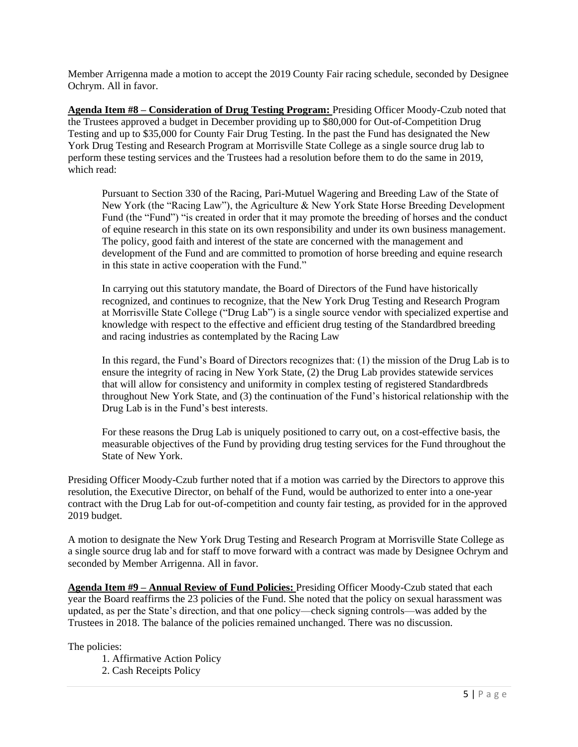Member Arrigenna made a motion to accept the 2019 County Fair racing schedule, seconded by Designee Ochrym. All in favor.

**Agenda Item #8 – Consideration of Drug Testing Program:** Presiding Officer Moody-Czub noted that the Trustees approved a budget in December providing up to \$80,000 for Out-of-Competition Drug Testing and up to \$35,000 for County Fair Drug Testing. In the past the Fund has designated the New York Drug Testing and Research Program at Morrisville State College as a single source drug lab to perform these testing services and the Trustees had a resolution before them to do the same in 2019, which read:

Pursuant to Section 330 of the Racing, Pari-Mutuel Wagering and Breeding Law of the State of New York (the "Racing Law"), the Agriculture & New York State Horse Breeding Development Fund (the "Fund") "is created in order that it may promote the breeding of horses and the conduct of equine research in this state on its own responsibility and under its own business management. The policy, good faith and interest of the state are concerned with the management and development of the Fund and are committed to promotion of horse breeding and equine research in this state in active cooperation with the Fund."

In carrying out this statutory mandate, the Board of Directors of the Fund have historically recognized, and continues to recognize, that the New York Drug Testing and Research Program at Morrisville State College ("Drug Lab") is a single source vendor with specialized expertise and knowledge with respect to the effective and efficient drug testing of the Standardbred breeding and racing industries as contemplated by the Racing Law

In this regard, the Fund's Board of Directors recognizes that: (1) the mission of the Drug Lab is to ensure the integrity of racing in New York State, (2) the Drug Lab provides statewide services that will allow for consistency and uniformity in complex testing of registered Standardbreds throughout New York State, and (3) the continuation of the Fund's historical relationship with the Drug Lab is in the Fund's best interests.

For these reasons the Drug Lab is uniquely positioned to carry out, on a cost-effective basis, the measurable objectives of the Fund by providing drug testing services for the Fund throughout the State of New York.

Presiding Officer Moody-Czub further noted that if a motion was carried by the Directors to approve this resolution, the Executive Director, on behalf of the Fund, would be authorized to enter into a one-year contract with the Drug Lab for out-of-competition and county fair testing, as provided for in the approved 2019 budget.

A motion to designate the New York Drug Testing and Research Program at Morrisville State College as a single source drug lab and for staff to move forward with a contract was made by Designee Ochrym and seconded by Member Arrigenna. All in favor.

**Agenda Item #9 – Annual Review of Fund Policies:** Presiding Officer Moody-Czub stated that each year the Board reaffirms the 23 policies of the Fund. She noted that the policy on sexual harassment was updated, as per the State's direction, and that one policy—check signing controls—was added by the Trustees in 2018. The balance of the policies remained unchanged. There was no discussion.

The policies:

1. Affirmative Action Policy

2. Cash Receipts Policy